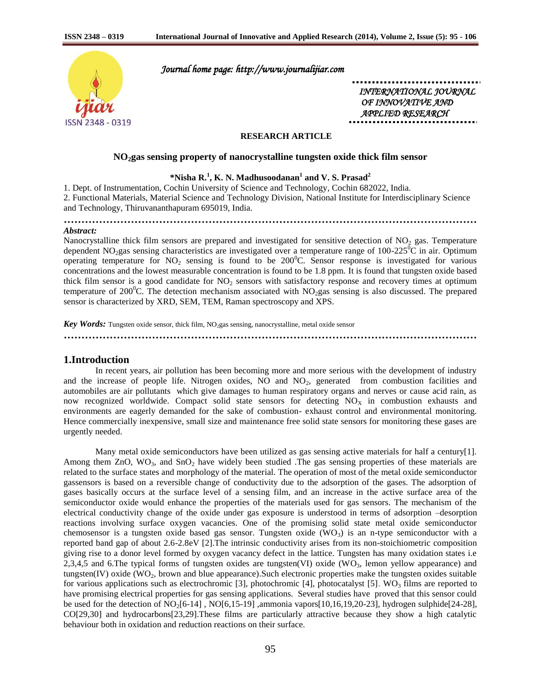

 *Journal home page: http://www.journalijiar.com* 

 *INTERNATIONAL JOURNAL OF INNOVATIVE AND APPLIED RESEARCH* 

# **RESEARCH ARTICLE**

**………………………………………………………………………………………………………**

## **NO2gas sensing property of nanocrystalline tungsten oxide thick film sensor**

# **\*Nisha R. 1 , K. N. Madhusoodanan<sup>1</sup> and V. S. Prasad<sup>2</sup>**

1. Dept. of Instrumentation, Cochin University of Science and Technology, Cochin 682022, India. 2. Functional Materials, Material Science and Technology Division, National Institute for Interdisciplinary Science and Technology, Thiruvananthapuram 695019, India.

# *Abstract:*

Nanocrystalline thick film sensors are prepared and investigated for sensitive detection of  $NO<sub>2</sub>$  gas. Temperature dependent  $NO_2$ gas sensing characteristics are investigated over a temperature range of 100-225<sup>o</sup>C in air. Optimum operating temperature for  $NO_2$  sensing is found to be 200<sup>o</sup>C. Sensor response is investigated for various concentrations and the lowest measurable concentration is found to be 1.8 ppm. It is found that tungsten oxide based thick film sensor is a good candidate for  $NO<sub>2</sub>$  sensors with satisfactory response and recovery times at optimum temperature of 200<sup>o</sup>C. The detection mechanism associated with  $NO<sub>2</sub>gas$  sensing is also discussed. The prepared sensor is characterized by XRD, SEM, TEM, Raman spectroscopy and XPS.

Key Words: Tungsten oxide sensor, thick film, NO<sub>2</sub>gas sensing, nanocrystalline, metal oxide sensor

**………………………………………………………………………………………………………**

#### **1.Introduction**

In recent years, air pollution has been becoming more and more serious with the development of industry and the increase of people life. Nitrogen oxides,  $NO$  and  $NO<sub>2</sub>$ , generated from combustion facilities and automobiles are air pollutants which give damages to human respiratory organs and nerves or cause acid rain, as now recognized worldwide. Compact solid state sensors for detecting  $NO<sub>X</sub>$  in combustion exhausts and environments are eagerly demanded for the sake of combustion- exhaust control and environmental monitoring. Hence commercially inexpensive, small size and maintenance free solid state sensors for monitoring these gases are urgently needed.

Many metal oxide semiconductors have been utilized as gas sensing active materials for half a century[1]. Among them  $ZnO$ ,  $WO_3$ , and  $SnO_2$  have widely been studied . The gas sensing properties of these materials are related to the surface states and morphology of the material. The operation of most of the metal oxide semiconductor gassensors is based on a reversible change of conductivity due to the adsorption of the gases. The adsorption of gases basically occurs at the surface level of a sensing film, and an increase in the active surface area of the semiconductor oxide would enhance the properties of the materials used for gas sensors. The mechanism of the electrical conductivity change of the oxide under gas exposure is understood in terms of adsorption –desorption reactions involving surface oxygen vacancies. One of the promising solid state metal oxide semiconductor chemosensor is a tungsten oxide based gas sensor. Tungsten oxide  $(WO<sub>3</sub>)$  is an n-type semiconductor with a reported band gap of about 2.6-2.8eV [2].The intrinsic conductivity arises from its non-stoichiometric composition giving rise to a donor level formed by oxygen vacancy defect in the lattice. Tungsten has many oxidation states i.e 2,3,4,5 and 6.The typical forms of tungsten oxides are tungsten(VI) oxide (WO<sub>3</sub>, lemon yellow appearance) and tungsten(IV) oxide (WO<sub>2</sub>, brown and blue appearance). Such electronic properties make the tungsten oxides suitable for various applications such as electrochromic [3], photochromic [4], photocatalyst [5]. WO<sub>3</sub> films are reported to have promising electrical properties for gas sensing applications. Several studies have proved that this sensor could be used for the detection of  $NO<sub>2</sub>[6-14]$ ,  $NO[6,15-19]$ , ammonia vapors $[10,16,19,20-23]$ , hydrogen sulphide $[24-28]$ , CO[29,30] and hydrocarbons[23,29].These films are particularly attractive because they show a high catalytic behaviour both in oxidation and reduction reactions on their surface.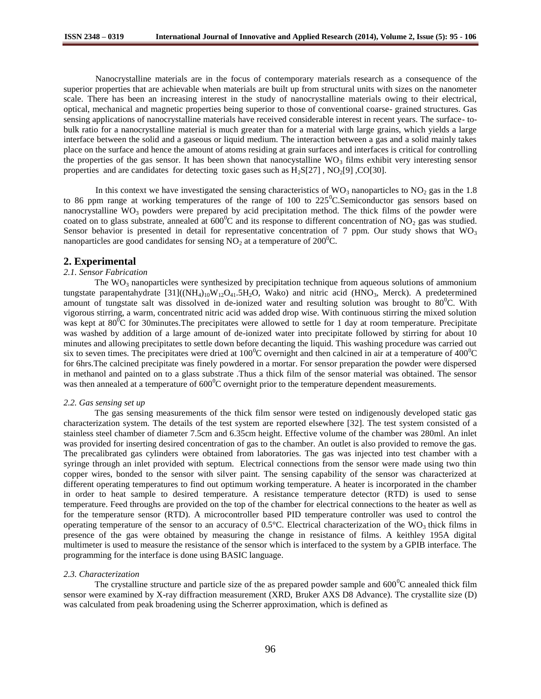Nanocrystalline materials are in the focus of contemporary materials research as a consequence of the superior properties that are achievable when materials are built up from structural units with sizes on the nanometer scale. There has been an increasing interest in the study of nanocrystalline materials owing to their electrical, optical, mechanical and magnetic properties being superior to those of conventional coarse- grained structures. Gas sensing applications of nanocrystalline materials have received considerable interest in recent years. The surface- tobulk ratio for a nanocrystalline material is much greater than for a material with large grains, which yields a large interface between the solid and a gaseous or liquid medium. The interaction between a gas and a solid mainly takes place on the surface and hence the amount of atoms residing at grain surfaces and interfaces is critical for controlling the properties of the gas sensor. It has been shown that nanocystalline  $WO_3$  films exhibit very interesting sensor properties and are candidates for detecting toxic gases such as  $H_2S[27]$ ,  $NO_2[9]$ ,  $CO[30]$ .

In this context we have investigated the sensing characteristics of  $WO_3$  nanoparticles to  $NO_2$  gas in the 1.8 to 86 ppm range at working temperatures of the range of 100 to  $225^{\circ}$ C.Semiconductor gas sensors based on nanocrystalline  $WO_3$  powders were prepared by acid precipitation method. The thick films of the powder were coated on to glass substrate, annealed at  $600^{\circ}$ C and its response to different concentration of NO<sub>2</sub> gas was studied. Sensor behavior is presented in detail for representative concentration of 7 ppm. Our study shows that  $WO_3$ nanoparticles are good candidates for sensing  $NO<sub>2</sub>$  at a temperature of 200<sup>0</sup>C.

## **2. Experimental**

#### *2.1. Sensor Fabrication*

The  $WO_3$  nanoparticles were synthesized by precipitation technique from aqueous solutions of ammonium tungstate parapentahydrate  $[31]((NH_4)_{10}W_{12}O_{41}.5H_2O, Wako)$  and nitric acid (HNO<sub>3</sub>, Merck). A predetermined amount of tungstate salt was dissolved in de-ionized water and resulting solution was brought to  $80^{\circ}$ C. With vigorous stirring, a warm, concentrated nitric acid was added drop wise. With continuous stirring the mixed solution was kept at 80<sup>0</sup>C for 30minutes. The precipitates were allowed to settle for 1 day at room temperature. Precipitate was washed by addition of a large amount of de-ionized water into precipitate followed by stirring for about 10 minutes and allowing precipitates to settle down before decanting the liquid. This washing procedure was carried out six to seven times. The precipitates were dried at  $100^{\circ}$ C overnight and then calcined in air at a temperature of  $400^{\circ}$ C for 6hrs.The calcined precipitate was finely powdered in a mortar. For sensor preparation the powder were dispersed in methanol and painted on to a glass substrate .Thus a thick film of the sensor material was obtained. The sensor was then annealed at a temperature of  $600^{\circ}$ C overnight prior to the temperature dependent measurements.

#### *2.2. Gas sensing set up*

The gas sensing measurements of the thick film sensor were tested on indigenously developed static gas characterization system. The details of the test system are reported elsewhere [32]. The test system consisted of a stainless steel chamber of diameter 7.5cm and 6.35cm height. Effective volume of the chamber was 280ml. An inlet was provided for inserting desired concentration of gas to the chamber. An outlet is also provided to remove the gas. The precalibrated gas cylinders were obtained from laboratories. The gas was injected into test chamber with a syringe through an inlet provided with septum. Electrical connections from the sensor were made using two thin copper wires, bonded to the sensor with silver paint. The sensing capability of the sensor was characterized at different operating temperatures to find out optimum working temperature. A heater is incorporated in the chamber in order to heat sample to desired temperature. A resistance temperature detector (RTD) is used to sense temperature. Feed throughs are provided on the top of the chamber for electrical connections to the heater as well as for the temperature sensor (RTD). A microcontroller based PID temperature controller was used to control the operating temperature of the sensor to an accuracy of  $0.5^{\circ}$ C. Electrical characterization of the WO<sub>3</sub> thick films in presence of the gas were obtained by measuring the change in resistance of films. A keithley 195A digital multimeter is used to measure the resistance of the sensor which is interfaced to the system by a GPIB interface. The programming for the interface is done using BASIC language.

## *2.3. Characterization*

The crystalline structure and particle size of the as prepared powder sample and  $600^{\circ}$ C annealed thick film sensor were examined by X-ray diffraction measurement (XRD, Bruker AXS D8 Advance). The crystallite size (D) was calculated from peak broadening using the Scherrer approximation, which is defined as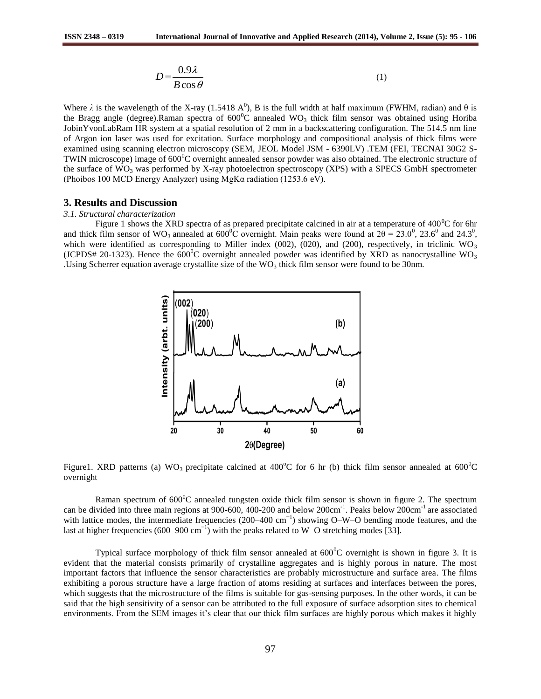$$
D = \frac{0.9\lambda}{B\cos\theta} \tag{1}
$$

Where  $\lambda$  is the wavelength of the X-ray (1.5418 A<sup>0</sup>), B is the full width at half maximum (FWHM, radian) and  $\theta$  is the Bragg angle (degree).Raman spectra of  $600^{\circ}$ C annealed WO<sub>3</sub> thick film sensor was obtained using Horiba JobinYvonLabRam HR system at a spatial resolution of 2 mm in a backscattering configuration. The 514.5 nm line of Argon ion laser was used for excitation. Surface morphology and compositional analysis of thick films were examined using scanning electron microscopy (SEM, JEOL Model JSM - 6390LV) .TEM (FEI, TECNAI 30G2 S-TWIN microscope) image of  $600^0C$  overnight annealed sensor powder was also obtained. The electronic structure of the surface of  $WO_3$  was performed by X-ray photoelectron spectroscopy (XPS) with a SPECS GmbH spectrometer (Phoibos 100 MCD Energy Analyzer) using MgKα radiation (1253.6 eV).

# **3. Results and Discussion**

#### *3.1. Structural characterization*

Figure 1 shows the XRD spectra of as prepared precipitate calcined in air at a temperature of  $400^{\circ}$ C for 6hr and thick film sensor of WO<sub>3</sub> annealed at  $600^{\circ}$ C overnight. Main peaks were found at  $2\theta = 23.0^{\circ}$ ,  $23.6^{\circ}$  and  $24.3^{\circ}$ , which were identified as corresponding to Miller index (002), (020), and (200), respectively, in triclinic WO<sub>3</sub> (JCPDS# 20-1323). Hence the  $600^{\circ}$ C overnight annealed powder was identified by XRD as nanocrystalline WO<sub>3</sub> .Using Scherrer equation average crystallite size of the  $WO_3$  thick film sensor were found to be 30nm.



Figure1. XRD patterns (a) WO<sub>3</sub> precipitate calcined at 400<sup>o</sup>C for 6 hr (b) thick film sensor annealed at 600<sup>o</sup>C overnight

Raman spectrum of  $600^{\circ}$ C annealed tungsten oxide thick film sensor is shown in figure 2. The spectrum can be divided into three main regions at 900-600, 400-200 and below 200cm<sup>-1</sup>. Peaks below 200cm<sup>-1</sup> are associated with lattice modes, the intermediate frequencies (200–400 cm<sup>-1</sup>) showing O–W–O bending mode features, and the last at higher frequencies (600–900 cm<sup>-1</sup>) with the peaks related to W–O stretching modes [33].

Typical surface morphology of thick film sensor annealed at  $600^{\circ}$ C overnight is shown in figure 3. It is evident that the material consists primarily of crystalline aggregates and is highly porous in nature. The most important factors that influence the sensor characteristics are probably microstructure and surface area. The films exhibiting a porous structure have a large fraction of atoms residing at surfaces and interfaces between the pores, which suggests that the microstructure of the films is suitable for gas-sensing purposes. In the other words, it can be said that the high sensitivity of a sensor can be attributed to the full exposure of surface adsorption sites to chemical environments. From the SEM images it's clear that our thick film surfaces are highly porous which makes it highly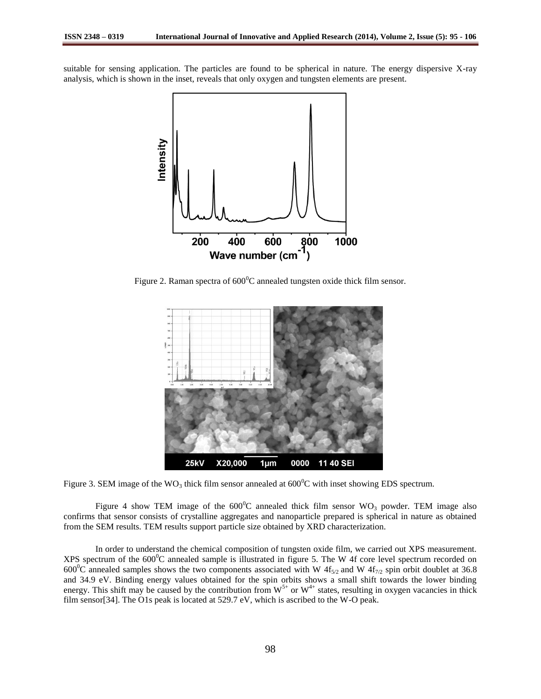suitable for sensing application. The particles are found to be spherical in nature. The energy dispersive X-ray analysis, which is shown in the inset, reveals that only oxygen and tungsten elements are present.



Figure 2. Raman spectra of  $600^{\circ}$ C annealed tungsten oxide thick film sensor.



Figure 3. SEM image of the WO<sub>3</sub> thick film sensor annealed at  $600^{\circ}$ C with inset showing EDS spectrum.

Figure 4 show TEM image of the  $600^{\circ}$ C annealed thick film sensor WO<sub>3</sub> powder. TEM image also confirms that sensor consists of crystalline aggregates and nanoparticle prepared is spherical in nature as obtained from the SEM results. TEM results support particle size obtained by XRD characterization.

In order to understand the chemical composition of tungsten oxide film, we carried out XPS measurement. XPS spectrum of the  $600^{\circ}$ C annealed sample is illustrated in figure 5. The W 4f core level spectrum recorded on 600<sup>o</sup>C annealed samples shows the two components associated with W  $4f_{5/2}$  and W  $4f_{7/2}$  spin orbit doublet at 36.8 and 34.9 eV. Binding energy values obtained for the spin orbits shows a small shift towards the lower binding energy. This shift may be caused by the contribution from  $W^{5+}$  or  $W^{4+}$  states, resulting in oxygen vacancies in thick film sensor[34]. The O1s peak is located at 529.7 eV, which is ascribed to the W-O peak.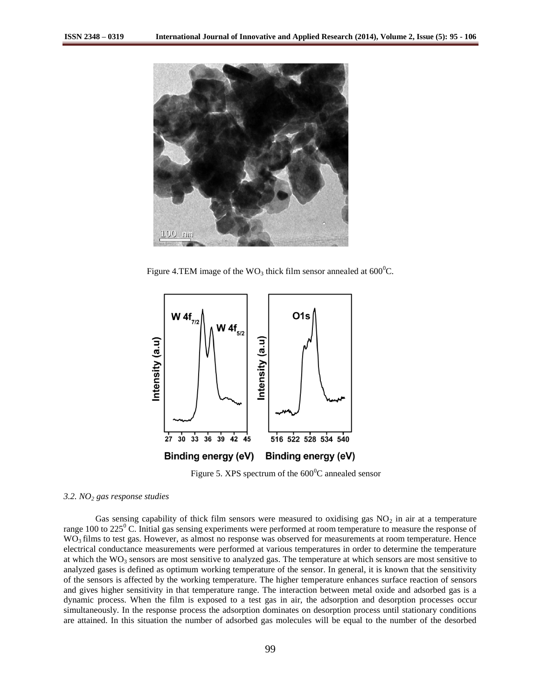

Figure 4.TEM image of the  $WO_3$  thick film sensor annealed at 600<sup>°</sup>C.



Figure 5. XPS spectrum of the  $600^{\circ}$ C annealed sensor

## *3.2. NO<sup>2</sup> gas response studies*

Gas sensing capability of thick film sensors were measured to oxidising gas  $NO<sub>2</sub>$  in air at a temperature range 100 to  $225^{\circ}$  C. Initial gas sensing experiments were performed at room temperature to measure the response of WO<sub>3</sub> films to test gas. However, as almost no response was observed for measurements at room temperature. Hence electrical conductance measurements were performed at various temperatures in order to determine the temperature at which the  $WO_3$  sensors are most sensitive to analyzed gas. The temperature at which sensors are most sensitive to analyzed gases is defined as optimum working temperature of the sensor. In general, it is known that the sensitivity of the sensors is affected by the working temperature. The higher temperature enhances surface reaction of sensors and gives higher sensitivity in that temperature range. The interaction between metal oxide and adsorbed gas is a dynamic process. When the film is exposed to a test gas in air, the adsorption and desorption processes occur simultaneously. In the response process the adsorption dominates on desorption process until stationary conditions are attained. In this situation the number of adsorbed gas molecules will be equal to the number of the desorbed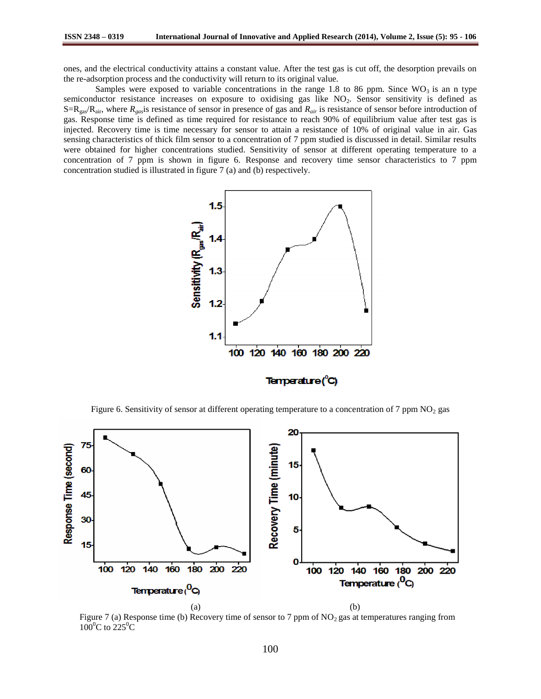ones, and the electrical conductivity attains a constant value. After the test gas is cut off, the desorption prevails on the re-adsorption process and the conductivity will return to its original value.

Samples were exposed to variable concentrations in the range 1.8 to 86 ppm. Since  $WO_3$  is an n type semiconductor resistance increases on exposure to oxidising gas like NO<sub>2</sub>. Sensor sensitivity is defined as  $S=R_{gas}/R_{air}$ , where  $R_{gas}$  is resistance of sensor in presence of gas and  $R_{air}$  is resistance of sensor before introduction of gas. Response time is defined as time required for resistance to reach 90% of equilibrium value after test gas is injected. Recovery time is time necessary for sensor to attain a resistance of 10% of original value in air. Gas sensing characteristics of thick film sensor to a concentration of 7 ppm studied is discussed in detail. Similar results were obtained for higher concentrations studied. Sensitivity of sensor at different operating temperature to a concentration of 7 ppm is shown in figure 6. Response and recovery time sensor characteristics to 7 ppm concentration studied is illustrated in figure 7 (a) and (b) respectively.



Figure 6. Sensitivity of sensor at different operating temperature to a concentration of 7 ppm  $NO<sub>2</sub>$  gas



Figure 7 (a) Response time (b) Recovery time of sensor to 7 ppm of  $NO<sub>2</sub>$  gas at temperatures ranging from  $100^{\circ}$ C to  $225^{\circ}$ C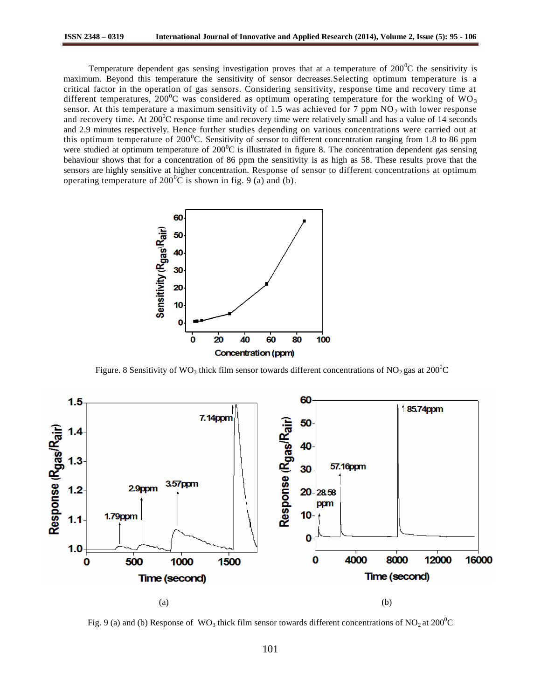Temperature dependent gas sensing investigation proves that at a temperature of  $200^{\circ}$ C the sensitivity is maximum. Beyond this temperature the sensitivity of sensor decreases.Selecting optimum temperature is a critical factor in the operation of gas sensors. Considering sensitivity, response time and recovery time at different temperatures, 200<sup>0</sup>C was considered as optimum operating temperature for the working of WO<sub>3</sub> sensor. At this temperature a maximum sensitivity of 1.5 was achieved for 7 ppm  $NO<sub>2</sub>$  with lower response and recovery time. At  $200^{\circ}$ C response time and recovery time were relatively small and has a value of 14 seconds and 2.9 minutes respectively. Hence further studies depending on various concentrations were carried out at this optimum temperature of  $200^{\circ}$ C. Sensitivity of sensor to different concentration ranging from 1.8 to 86 ppm were studied at optimum temperature of  $200^{\circ}$ C is illustrated in figure 8. The concentration dependent gas sensing behaviour shows that for a concentration of 86 ppm the sensitivity is as high as 58. These results prove that the sensors are highly sensitive at higher concentration. Response of sensor to different concentrations at optimum operating temperature of  $200^{\circ}$ C is shown in fig. 9 (a) and (b).



Figure. 8 Sensitivity of WO<sub>3</sub> thick film sensor towards different concentrations of NO<sub>2</sub> gas at 200<sup>o</sup>C



Fig. 9 (a) and (b) Response of  $WO_3$  thick film sensor towards different concentrations of  $NO_2$  at  $200^{\circ}C$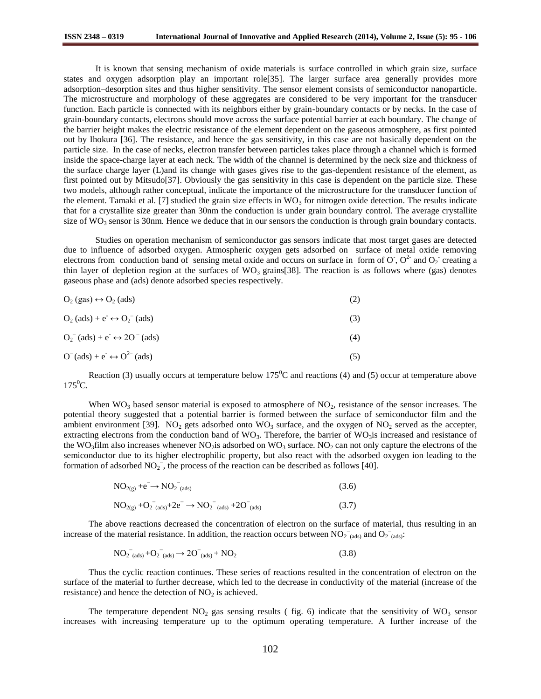It is known that sensing mechanism of oxide materials is surface controlled in which grain size, surface states and oxygen adsorption play an important role[35]. The larger surface area generally provides more adsorption–desorption sites and thus higher sensitivity. The sensor element consists of semiconductor nanoparticle. The microstructure and morphology of these aggregates are considered to be very important for the transducer function. Each particle is connected with its neighbors either by grain-boundary contacts or by necks. In the case of grain-boundary contacts, electrons should move across the surface potential barrier at each boundary. The change of the barrier height makes the electric resistance of the element dependent on the gaseous atmosphere, as first pointed out by Ihokura [36]. The resistance, and hence the gas sensitivity, in this case are not basically dependent on the particle size. In the case of necks, electron transfer between particles takes place through a channel which is formed inside the space-charge layer at each neck. The width of the channel is determined by the neck size and thickness of the surface charge layer (L)and its change with gases gives rise to the gas-dependent resistance of the element, as first pointed out by Mitsudo[37]. Obviously the gas sensitivity in this case is dependent on the particle size. These two models, although rather conceptual, indicate the importance of the microstructure for the transducer function of the element. Tamaki et al. [7] studied the grain size effects in  $WO_3$  for nitrogen oxide detection. The results indicate that for a crystallite size greater than 30nm the conduction is under grain boundary control. The average crystallite size of  $WO_3$  sensor is 30nm. Hence we deduce that in our sensors the conduction is through grain boundary contacts.

Studies on operation mechanism of semiconductor gas sensors indicate that most target gases are detected due to influence of adsorbed oxygen. Atmospheric oxygen gets adsorbed on surface of metal oxide removing electrons from conduction band of sensing metal oxide and occurs on surface in form of  $O^7$ ,  $O^2$  and  $O_2$  creating a thin layer of depletion region at the surfaces of  $WO_3$  grains[38]. The reaction is as follows where (gas) denotes gaseous phase and (ads) denote adsorbed species respectively.

| $O_2$ (gas) $\leftrightarrow$ $O_2$ (ads) |  |
|-------------------------------------------|--|
|-------------------------------------------|--|

| $O_2$ (ads) + $e^- \leftrightarrow O_2^-$ (ads) |  |
|-------------------------------------------------|--|
|                                                 |  |

 $O_2^{\text{-}}$  (ads) +  $e^{\text{-}} \leftrightarrow 2O^{\text{-}}$  $\text{(ads)}\tag{4}$ 

$$
O^{(ads) + e^{-} \leftrightarrow O^{2-}(ads)
$$
 (5)

Reaction (3) usually occurs at temperature below  $175^{\circ}$ C and reactions (4) and (5) occur at temperature above  $175^0C$ .

When  $WO_3$  based sensor material is exposed to atmosphere of  $NO_2$ , resistance of the sensor increases. The potential theory suggested that a potential barrier is formed between the surface of semiconductor film and the ambient environment [39].  $NO_2$  gets adsorbed onto  $WO_3$  surface, and the oxygen of  $NO_2$  served as the accepter, extracting electrons from the conduction band of  $WO_3$ . Therefore, the barrier of  $WO_3$  is increased and resistance of the WO<sub>3</sub>film also increases whenever NO<sub>2</sub>is adsorbed on WO<sub>3</sub> surface. NO<sub>2</sub> can not only capture the electrons of the semiconductor due to its higher electrophilic property, but also react with the adsorbed oxygen ion leading to the formation of adsorbed  $NO_2^-$ , the process of the reaction can be described as follows [40].

$$
NO_{2(g)} + e^- \to NO_2^-_{(ads)} \tag{3.6}
$$

$$
NO_{2(g)} + O_{2\text{ (ads)}} + 2e^- \rightarrow NO_{2\text{ (ads)}} + 2O_{(ads)} \tag{3.7}
$$

The above reactions decreased the concentration of electron on the surface of material, thus resulting in an increase of the material resistance. In addition, the reaction occurs between  $NO_2^-$ <sub>(ads)</sub> and  $O_2^-$ <sub>(ads)</sub>:

$$
\overline{NO_2}^{\phantom{-}}\,(\text{ads})} + \overline{O_2}^{\phantom{-}}\,(\text{ads})} \rightarrow 2\overline{O}^{\phantom{-}}\,(\text{ads})} + \overline{NO_2} \tag{3.8}
$$

Thus the cyclic reaction continues. These series of reactions resulted in the concentration of electron on the surface of the material to further decrease, which led to the decrease in conductivity of the material (increase of the resistance) and hence the detection of  $NO<sub>2</sub>$  is achieved.

The temperature dependent  $NO<sub>2</sub>$  gas sensing results ( fig. 6) indicate that the sensitivity of  $WO<sub>3</sub>$  sensor increases with increasing temperature up to the optimum operating temperature. A further increase of the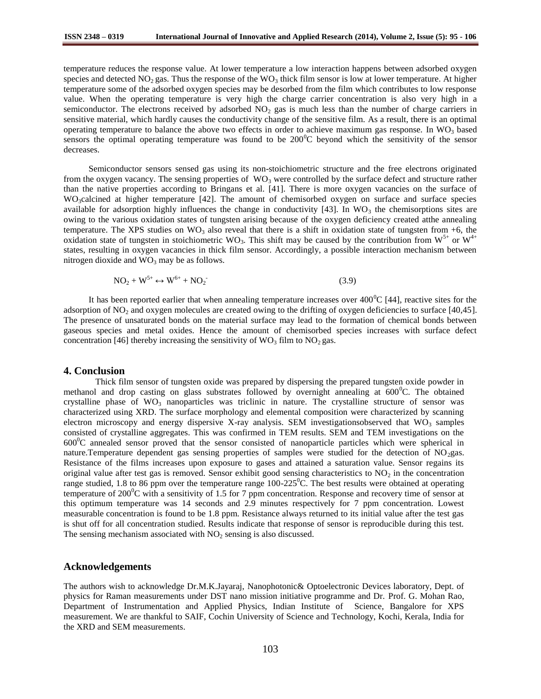temperature reduces the response value. At lower temperature a low interaction happens between adsorbed oxygen species and detected  $NO_2$  gas. Thus the response of the  $WO_3$  thick film sensor is low at lower temperature. At higher temperature some of the adsorbed oxygen species may be desorbed from the film which contributes to low response value. When the operating temperature is very high the charge carrier concentration is also very high in a semiconductor. The electrons received by adsorbed  $NO<sub>2</sub>$  gas is much less than the number of charge carriers in sensitive material, which hardly causes the conductivity change of the sensitive film. As a result, there is an optimal operating temperature to balance the above two effects in order to achieve maximum gas response. In  $WO_3$  based sensors the optimal operating temperature was found to be  $200^{\circ}$ C beyond which the sensitivity of the sensor decreases.

Semiconductor sensors sensed gas using its non-stoichiometric structure and the free electrons originated from the oxygen vacancy. The sensing properties of  $WO_3$  were controlled by the surface defect and structure rather than the native properties according to Bringans et al. [41]. There is more oxygen vacancies on the surface of WO<sub>3</sub>calcined at higher temperature [42]. The amount of chemisorbed oxygen on surface and surface species available for adsorption highly influences the change in conductivity  $[43]$ . In WO<sub>3</sub> the chemisorptions sites are owing to the various oxidation states of tungsten arising because of the oxygen deficiency created atthe annealing temperature. The XPS studies on  $WO_3$  also reveal that there is a shift in oxidation state of tungsten from +6, the oxidation state of tungsten in stoichiometric WO<sub>3</sub>. This shift may be caused by the contribution from W<sup>5+</sup> or W<sup>4+</sup> states, resulting in oxygen vacancies in thick film sensor. Accordingly, a possible interaction mechanism between nitrogen dioxide and  $WO_3$  may be as follows.

$$
NO2 + W5+ \leftrightarrow W6+ + NO2
$$
 (3.9)

It has been reported earlier that when annealing temperature increases over  $400^{\circ}$ C [44], reactive sites for the adsorption of NO<sub>2</sub> and oxygen molecules are created owing to the drifting of oxygen deficiencies to surface [40,45]. The presence of unsaturated bonds on the material surface may lead to the formation of chemical bonds between gaseous species and metal oxides. Hence the amount of chemisorbed species increases with surface defect concentration [46] thereby increasing the sensitivity of  $WO_3$  film to  $NO_2$  gas.

#### **4. Conclusion**

Thick film sensor of tungsten oxide was prepared by dispersing the prepared tungsten oxide powder in methanol and drop casting on glass substrates followed by overnight annealing at  $600^{\circ}$ C. The obtained crystalline phase of  $WO_3$  nanoparticles was triclinic in nature. The crystalline structure of sensor was characterized using XRD. The surface morphology and elemental composition were characterized by scanning electron microscopy and energy dispersive X-ray analysis. SEM investigationsobserved that  $WO_3$  samples consisted of crystalline aggregates. This was confirmed in TEM results. SEM and TEM investigations on the  $600^{\circ}$ C annealed sensor proved that the sensor consisted of nanoparticle particles which were spherical in nature.Temperature dependent gas sensing properties of samples were studied for the detection of NO<sub>2</sub>gas. Resistance of the films increases upon exposure to gases and attained a saturation value. Sensor regains its original value after test gas is removed. Sensor exhibit good sensing characteristics to  $NO<sub>2</sub>$  in the concentration range studied, 1.8 to 86 ppm over the temperature range  $100-225^{\circ}$ C. The best results were obtained at operating temperature of 200 $\rm{^0C}$  with a sensitivity of 1.5 for 7 ppm concentration. Response and recovery time of sensor at this optimum temperature was 14 seconds and 2.9 minutes respectively for 7 ppm concentration. Lowest measurable concentration is found to be 1.8 ppm. Resistance always returned to its initial value after the test gas is shut off for all concentration studied. Results indicate that response of sensor is reproducible during this test. The sensing mechanism associated with  $NO<sub>2</sub>$  sensing is also discussed.

#### **Acknowledgements**

The authors wish to acknowledge Dr.M.K.Jayaraj, Nanophotonic& Optoelectronic Devices laboratory, Dept. of physics for Raman measurements under DST nano mission initiative programme and Dr. Prof. G. Mohan Rao, Department of Instrumentation and Applied Physics, Indian Institute of Science, Bangalore for XPS measurement. We are thankful to SAIF, Cochin University of Science and Technology, Kochi, Kerala, India for the XRD and SEM measurements.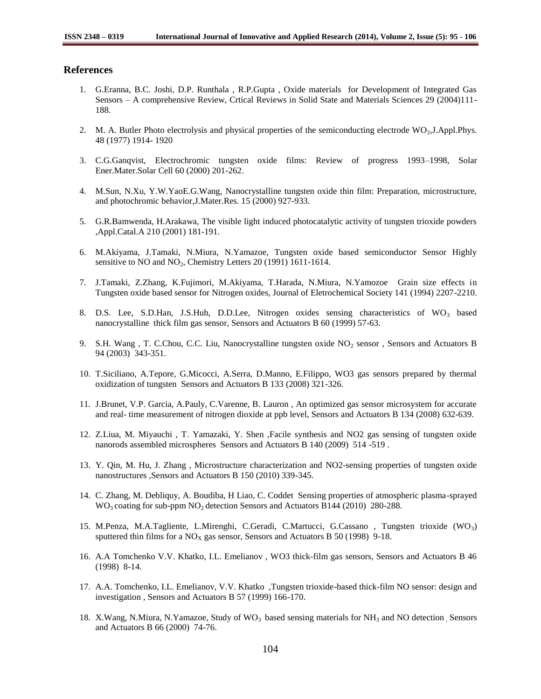# **References**

- 1. G.Eranna, B.C. Joshi, D.P. Runthala , R.P.Gupta , Oxide materials for Development of Integrated Gas Sensors – A comprehensive Review, Crtical Reviews in Solid State and Materials Sciences 29 (2004)111- 188.
- 2. M. A. Butler Photo electrolysis and physical properties of the semiconducting electrode  $WO_2$ , J.Appl.Phys. 48 (1977) 1914- 1920
- 3. C.G.Ganqvist, Electrochromic tungsten oxide films: Review of progress 1993–1998, Solar Ener.Mater.Solar Cell 60 (2000) 201-262.
- 4. M.Sun, N.Xu, Y.W.YaoE.G.Wang, Nanocrystalline tungsten oxide thin film: Preparation, microstructure, and photochromic behavior,J.Mater.Res. 15 (2000) 927-933.
- 5. G.R.Bamwenda, H.Arakawa, The visible light induced photocatalytic activity of tungsten trioxide powders ,Appl.Catal.A 210 (2001) 181-191.
- 6. M.Akiyama, J.Tamaki, N.Miura, N.Yamazoe, Tungsten oxide based semiconductor Sensor Highly sensitive to  $NO$  and  $NO<sub>2</sub>$ , Chemistry Letters 20 (1991) 1611-1614.
- 7. J.Tamaki, Z.Zhang, K.Fujimori, M.Akiyama, T.Harada, N.Miura, N.Yamozoe Grain size effects in Tungsten oxide based sensor for Nitrogen oxides, Journal of Eletrochemical Society 141 (1994) 2207-2210.
- 8. D.S. Lee, S.D.Han, J.S.Huh, D.D.Lee, Nitrogen oxides sensing characteristics of WO<sub>3</sub> based nanocrystalline thick film gas sensor, Sensors and Actuators B 60 (1999) 57-63.
- 9. S.H. Wang, T. C.Chou, C.C. Liu, Nanocrystalline tungsten oxide  $NO<sub>2</sub>$  sensor, Sensors and Actuators B 94 (2003) 343-351.
- 10. T.Siciliano, A.Tepore, G.Micocci, A.Serra, D.Manno, E.Filippo, WO3 gas sensors prepared by thermal oxidization of tungsten Sensors and Actuators B 133 (2008) 321-326.
- 11. J.Brunet, V.P. Garcia, A.Pauly, C.Varenne, B. Lauron , An optimized gas sensor microsystem for accurate and real- time measurement of nitrogen dioxide at ppb level, Sensors and Actuators B 134 (2008) 632-639.
- 12. Z.Liua, M. Miyauchi , T. Yamazaki, Y. Shen ,Facile synthesis and NO2 gas sensing of tungsten oxide nanorods assembled microspheres Sensors and Actuators B 140 (2009) 514 -519 .
- 13. Y. Qin, M. Hu, J. Zhang , Microstructure characterization and NO2-sensing properties of tungsten oxide nanostructures ,Sensors and Actuators B 150 (2010) 339-345.
- 14. C. Zhang, M. Debliquy, A. Boudiba, H Liao, C. Coddet Sensing properties of atmospheric plasma-sprayed  $WO<sub>3</sub> coating for sub-ppm NO<sub>2</sub> detection Sensors and Actuators B144 (2010) 280-288.$
- 15. M.Penza, M.A.Tagliente, L.Mirenghi, C.Geradi, C.Martucci, G.Cassano , Tungsten trioxide (WO3) sputtered thin films for a  $NO<sub>X</sub>$  gas sensor, Sensors and Actuators B 50 (1998) 9-18.
- 16. A.A Tomchenko V.V. Khatko, I.L. Emelianov , WO3 thick-film gas sensors, Sensors and Actuators B 46 (1998) 8-14.
- 17. A.A. Tomchenko, I.L. Emelianov, V.V. Khatko ,Tungsten trioxide-based thick-film NO sensor: design and investigation , Sensors and Actuators B 57 (1999) 166-170.
- 18. X.Wang, N.Miura, N.Yamazoe, Study of WO<sub>3</sub> based sensing materials for NH<sub>3</sub> and NO detection Sensors and Actuators B 66 (2000) 74-76.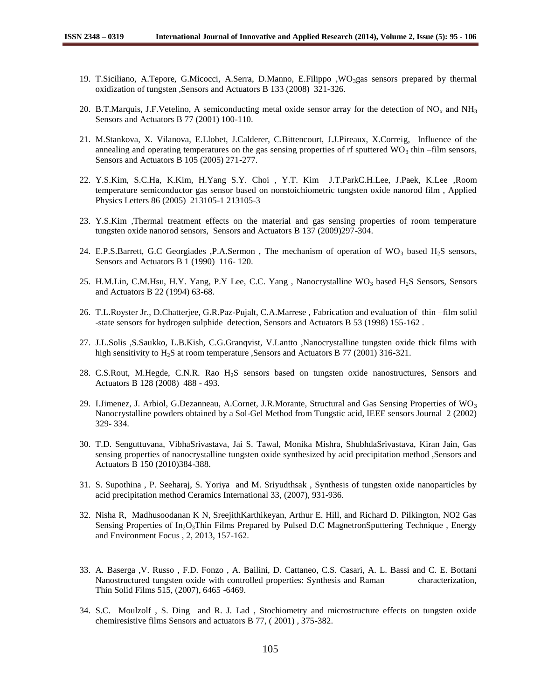- 19. T.Siciliano, A.Tepore, G.Micocci, A.Serra, D.Manno, E.Filippo ,WO<sub>3gas</sub> sensors prepared by thermal oxidization of tungsten ,Sensors and Actuators B 133 (2008) 321-326.
- 20. B.T.Marquis, J.F.Vetelino, A semiconducting metal oxide sensor array for the detection of  $NO<sub>x</sub>$  and  $NH<sub>3</sub>$ Sensors and Actuators B 77 (2001) 100-110.
- 21. M.Stankova, X. Vilanova, E.Llobet, J.Calderer, C.Bittencourt, J.J.Pireaux, X.Correig, Influence of the annealing and operating temperatures on the gas sensing properties of rf sputtered  $WO_3$  thin –film sensors, Sensors and Actuators B 105 (2005) 271-277.
- 22. Y.S.Kim, S.C.Ha, K.Kim, H.Yang S.Y. Choi , Y.T. Kim J.T.ParkC.H.Lee, J.Paek, K.Lee ,Room temperature semiconductor gas sensor based on nonstoichiometric tungsten oxide nanorod film , Applied Physics Letters 86 (2005) 213105-1 213105-3
- 23. Y.S.Kim ,Thermal treatment effects on the material and gas sensing properties of room temperature tungsten oxide nanorod sensors, Sensors and Actuators B 137 (2009)297-304.
- 24. E.P.S.Barrett, G.C Georgiades ,P.A.Sermon, The mechanism of operation of WO<sub>3</sub> based H<sub>2</sub>S sensors, Sensors and Actuators B 1 (1990) 116- 120.
- 25. H.M.Lin, C.M.Hsu, H.Y. Yang, P.Y Lee, C.C. Yang, Nanocrystalline WO<sub>3</sub> based H<sub>2</sub>S Sensors, Sensors and Actuators B 22 (1994) 63-68.
- 26. T.L.Royster Jr., D.Chatterjee, G.R.Paz-Pujalt, C.A.Marrese , Fabrication and evaluation of thin –film solid -state sensors for hydrogen sulphide detection, Sensors and Actuators B 53 (1998) 155-162 .
- 27. J.L.Solis ,S.Saukko, L.B.Kish, C.G.Granqvist, V.Lantto ,Nanocrystalline tungsten oxide thick films with high sensitivity to H<sub>2</sub>S at room temperature ,Sensors and Actuators B 77 (2001) 316-321.
- 28. C.S.Rout, M.Hegde, C.N.R. Rao H2S sensors based on tungsten oxide nanostructures, Sensors and Actuators B 128 (2008) 488 - 493.
- 29. I.Jimenez, J. Arbiol, G.Dezanneau, A.Cornet, J.R.Morante, Structural and Gas Sensing Properties of  $WO<sub>3</sub>$ Nanocrystalline powders obtained by a Sol-Gel Method from Tungstic acid, IEEE sensors Journal 2 (2002) 329- 334.
- 30. T.D. Senguttuvana, VibhaSrivastava, Jai S. Tawal, Monika Mishra, ShubhdaSrivastava, Kiran Jain, Gas sensing properties of nanocrystalline tungsten oxide synthesized by acid precipitation method ,Sensors and Actuators B 150 (2010)384-388.
- 31. S. Supothina , P. Seeharaj, S. Yoriya and M. Sriyudthsak , Synthesis of tungsten oxide nanoparticles by acid precipitation method Ceramics International 33, (2007), 931-936.
- 32. Nisha R, Madhusoodanan K N, SreejithKarthikeyan, Arthur E. Hill, and Richard D. Pilkington, NO2 Gas Sensing Properties of In<sub>2</sub>O<sub>3</sub>Thin Films Prepared by Pulsed D.C MagnetronSputtering Technique, Energy and Environment Focus , 2, 2013, 157-162.
- 33. A. Baserga ,V. Russo , F.D. Fonzo , A. Bailini, D. Cattaneo, C.S. Casari, A. L. Bassi and C. E. Bottani Nanostructured tungsten oxide with controlled properties: Synthesis and Raman characterization, Thin Solid Films 515, (2007), 6465 -6469.
- 34. S.C. Moulzolf , S. Ding and R. J. Lad , Stochiometry and microstructure effects on tungsten oxide chemiresistive films Sensors and actuators B 77, ( 2001) , 375-382.